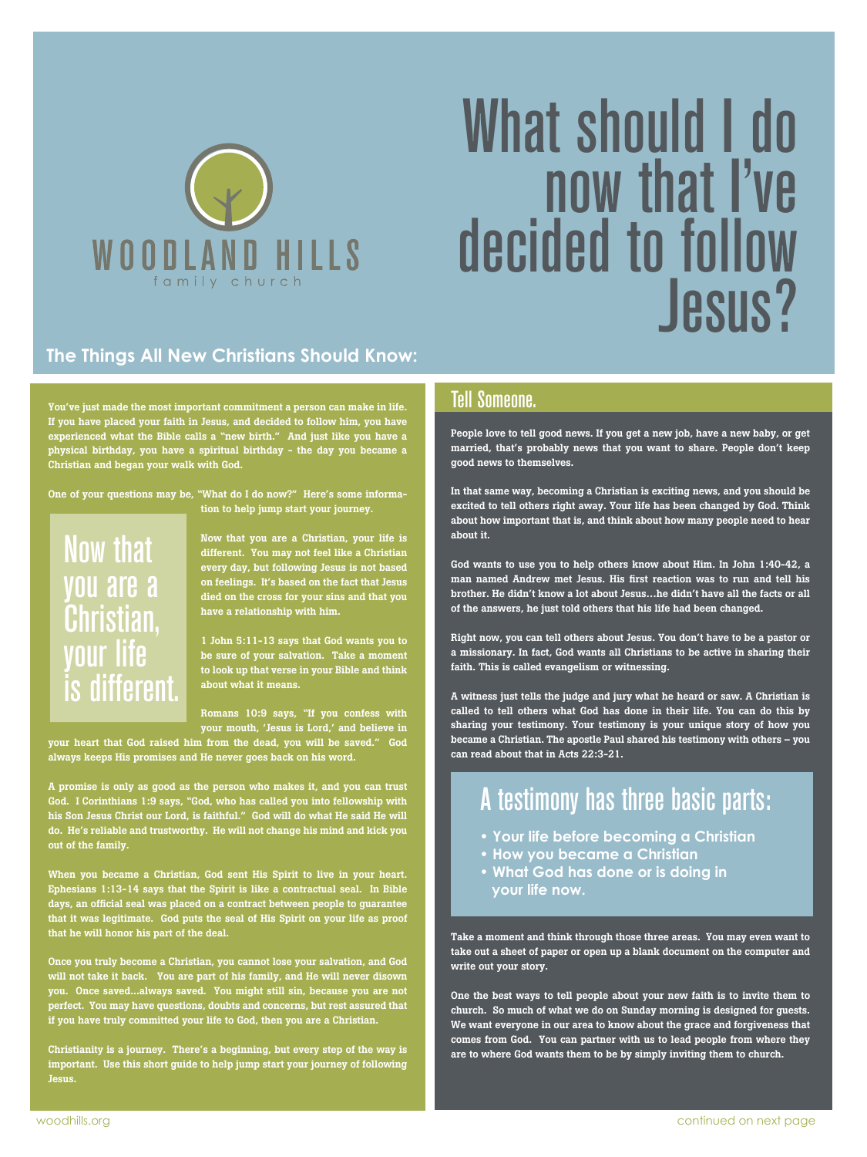

# What should I do now that I've decided to follow Jesus?

#### **The Things All New Christians Should Know:**

You've just made the most important commitment a person can make in life. If you have placed your faith in Jesus, and decided to follow him, you have experienced what the Bible calls a "new birth." And just like you have a physical birthday, you have a spiritual birthday - the day you became a Christian and began your walk with God.

One of your questions may be, "What do I do now?" Here's some information to help jump start your journey.

## Now that you are a Christian, your life different.

Now that you are a Christian, your life is different. You may not feel like a Christian

every day, but following Jesus is not based on feelings. It's based on the fact that Jesus died on the cross for your sins and that you have a relationship with him.

1 John 5:11-13 says that God wants you to be sure of your salvation. Take a moment to look up that verse in your Bible and think about what it means.

Romans 10:9 says, "If you confess with your mouth, 'Jesus is Lord,' and believe in

your heart that God raised him from the dead, you will be saved." God always keeps His promises and He never goes back on his word.

A promise is only as good as the person who makes it, and you can trust God. I Corinthians 1:9 says, "God, who has called you into fellowship with his Son Jesus Christ our Lord, is faithful." God will do what He said He will do. He's reliable and trustworthy. He will not change his mind and kick you out of the family.

When you became a Christian, God sent His Spirit to live in your heart. Ephesians 1:13-14 says that the Spirit is like a contractual seal. In Bible days, an official seal was placed on a contract between people to guarantee that it was legitimate. God puts the seal of His Spirit on your life as proof that he will honor his part of the deal.

Once you truly become a Christian, you cannot lose your salvation, and God will not take it back. You are part of his family, and He will never disown you. Once saved...always saved. You might still sin, because you are not perfect. You may have questions, doubts and concerns, but rest assured that if you have truly committed your life to God, then you are a Christian.

Christianity is a journey. There's a beginning, but every step of the way is important. Use this short guide to help jump start your journey of following Jesus.

#### Tell Someone.

People love to tell good news. If you get a new job, have a new baby, or get married, that's probably news that you want to share. People don't keep good news to themselves.

In that same way, becoming a Christian is exciting news, and you should be excited to tell others right away. Your life has been changed by God. Think about how important that is, and think about how many people need to hear about it.

God wants to use you to help others know about Him. In John 1:40-42, a man named Andrew met Jesus. His first reaction was to run and tell his brother. He didn't know a lot about Jesus…he didn't have all the facts or all of the answers, he just told others that his life had been changed.

Right now, you can tell others about Jesus. You don't have to be a pastor or a missionary. In fact, God wants all Christians to be active in sharing their faith. This is called evangelism or witnessing.

A witness just tells the judge and jury what he heard or saw. A Christian is called to tell others what God has done in their life. You can do this by sharing your testimony. Your testimony is your unique story of how you became a Christian. The apostle Paul shared his testimony with others – you can read about that in Acts 22:3-21.

### A testimony has three basic parts:

- **Your life before becoming a Christian**
- **How you became a Christian**
- **What God has done or is doing in your life now.**

Take a moment and think through those three areas. You may even want to take out a sheet of paper or open up a blank document on the computer and write out your story.

One the best ways to tell people about your new faith is to invite them to church. So much of what we do on Sunday morning is designed for guests. We want everyone in our area to know about the grace and forgiveness that comes from God. You can partner with us to lead people from where they are to where God wants them to be by simply inviting them to church.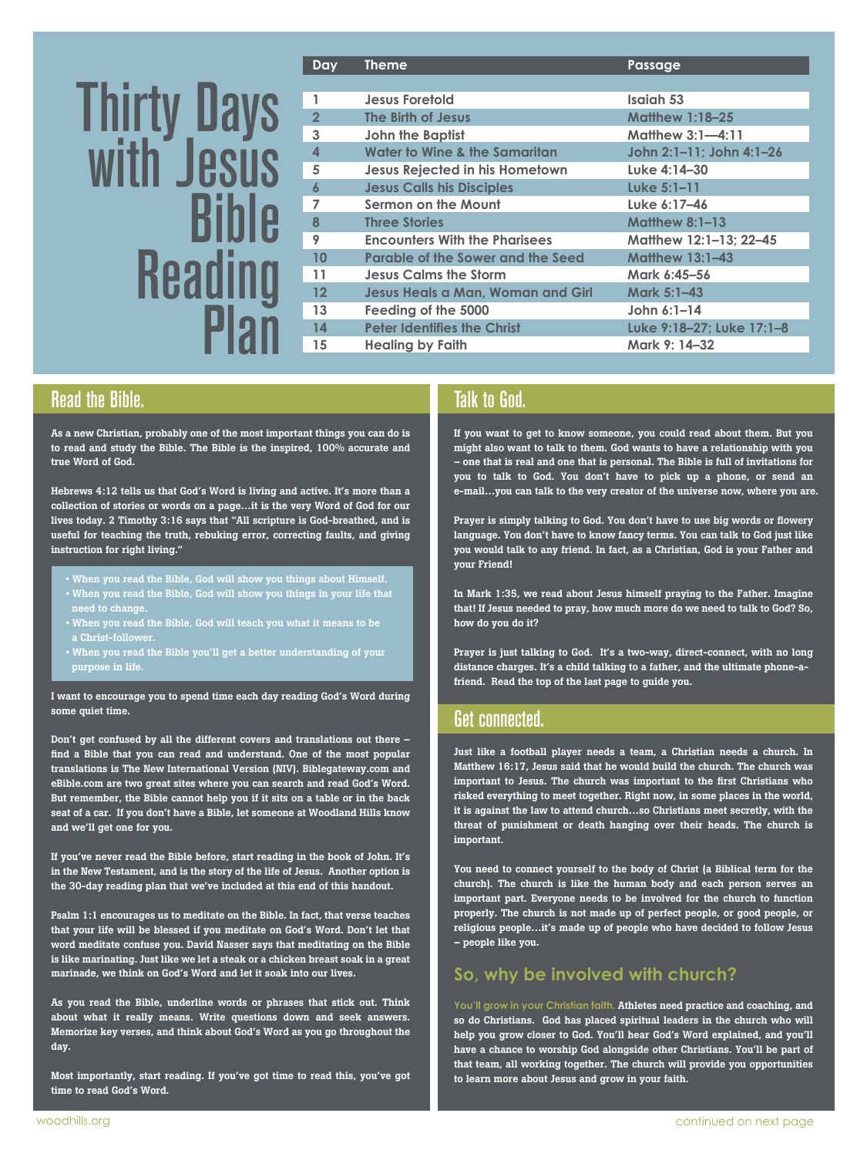|              | Day               | <b>Theme</b>                             | Passage                   |
|--------------|-------------------|------------------------------------------|---------------------------|
|              |                   |                                          |                           |
|              | 1                 | <b>Jesus Foretold</b>                    | Isaiah 53                 |
|              | $\overline{2}$    | The Birth of Jesus                       | <b>Matthew 1:18-25</b>    |
|              | 3                 | <b>John the Baptist</b>                  | <b>Matthew 3:1-4:11</b>   |
|              | 4                 | Water to Wine & the Samaritan            | John 2:1-11; John 4:1-26  |
| <b>Jesus</b> | 5                 | Jesus Rejected in his Hometown           | Luke 4:14-30              |
|              | $\boldsymbol{6}$  | <b>Jesus Calls his Disciples</b>         | Luke $5:1-11$             |
|              | $\overline{7}$    | Sermon on the Mount                      | Luke 6:17-46              |
|              | 8                 | <b>Three Stories</b>                     | <b>Matthew 8:1-13</b>     |
|              | 9                 | <b>Encounters With the Pharisees</b>     | Matthew 12:1-13; 22-45    |
|              | 10                | <b>Parable of the Sower and the Seed</b> | <b>Matthew 13:1-43</b>    |
| Kead         | 11                | <b>Jesus Calms the Storm</b>             | Mark 6:45-56              |
|              | $12 \overline{ }$ | <b>Jesus Heals a Man, Woman and Girl</b> | Mark 5:1-43               |
|              | 13                | Feeding of the 5000                      | John $6:1-14$             |
|              | 14                | <b>Peter Identifies the Christ</b>       | Luke 9:18-27; Luke 17:1-8 |
|              | 15                | <b>Healing by Faith</b>                  | Mark 9: 14-32             |
|              |                   |                                          |                           |

#### Read the Bible.

As a new Christian, probably one of the most important things you can do is to read and study the Bible. The Bible is the inspired, 100% accurate and true Word of God.

Hebrews 4:12 tells us that God's Word is living and active. It's more than a collection of stories or words on a page…it is the very Word of God for our lives today. 2 Timothy 3:16 says that "All scripture is God-breathed, and is useful for teaching the truth, rebuking error, correcting faults, and giving instruction for right living."

- When you read the Bible, God will show you things about Himself.
- When you read the Bible, God will show you things in your life that **need to change.**
- When you read the Bible, God will teach you what it means to be wnen you r<del>eau</del><br>a Christ-followe
	- When you read the Bible you'll get a better understanding of your purpose in life.

#### I want to encourage you to spend time each day reading God's Word during some quiet time.

Don't get confused by all the different covers and translations out there find a Bible that you can read and understand. One of the most popular translations is The New International Version (NIV). Biblegateway.com and eBible.com are two great sites where you can search and read God's Word. But remember, the Bible cannot help you if it sits on a table or in the back seat of a car. If you don't have a Bible, let someone at Woodland Hills know and we'll get one for you.

If you've never read the Bible before, start reading in the book of John. It's in the New Testament, and is the story of the life of Jesus. Another option is the 30-day reading plan that we've included at this end of this handout.

Psalm 1:1 encourages us to meditate on the Bible. In fact, that verse teaches that your life will be blessed if you meditate on God's Word. Don't let that word meditate confuse you. David Nasser says that meditating on the Bible is like marinating. Just like we let a steak or a chicken breast soak in a great marinade, we think on God's Word and let it soak into our lives.

As you read the Bible, underline words or phrases that stick out. Think about what it really means. Write questions down and seek answers. Memorize key verses, and think about God's Word as you go throughout the day.

Most importantly, start reading. If you've got time to read this, you've got time to read God's Word.

#### Talk to God.

If you want to get to know someone, you could read about them. But you might also want to talk to them. God wants to have a relationship with you – one that is real and one that is personal. The Bible is full of invitations for you to talk to God. You don't have to pick up a phone, or send an e-mail…you can talk to the very creator of the universe now, where you are.

Prayer is simply talking to God. You don't have to use big words or flowery language. You don't have to know fancy terms. You can talk to God just like you would talk to any friend. In fact, as a Christian, God is your Father and your Friend!

In Mark 1:35, we read about Jesus himself praying to the Father. Imagine that! If Jesus needed to pray, how much more do we need to talk to God? So, how do you do it?

Prayer is just talking to God. It's a two-way, direct-connect, with no long distance charges. It's a child talking to a father, and the ultimate phone-afriend. Read the top of the last page to guide you.

#### Get connected.

Just like a football player needs a team, a Christian needs a church. In Matthew 16:17, Jesus said that he would build the church. The church was important to Jesus. The church was important to the first Christians who risked everything to meet together. Right now, in some places in the world, it is against the law to attend church…so Christians meet secretly, with the threat of punishment or death hanging over their heads. The church is important.

You need to connect yourself to the body of Christ (a Biblical term for the church). The church is like the human body and each person serves an important part. Everyone needs to be involved for the church to function properly. The church is not made up of perfect people, or good people, or religious people…it's made up of people who have decided to follow Jesus – people like you.

#### **So, why be involved with church?**

**You'll grow in your Christian faith.** Athletes need practice and coaching, and so do Christians. God has placed spiritual leaders in the church who will help you grow closer to God. You'll hear God's Word explained, and you'll have a chance to worship God alongside other Christians. You'll be part of that team, all working together. The church will provide you opportunities to learn more about Jesus and grow in your faith.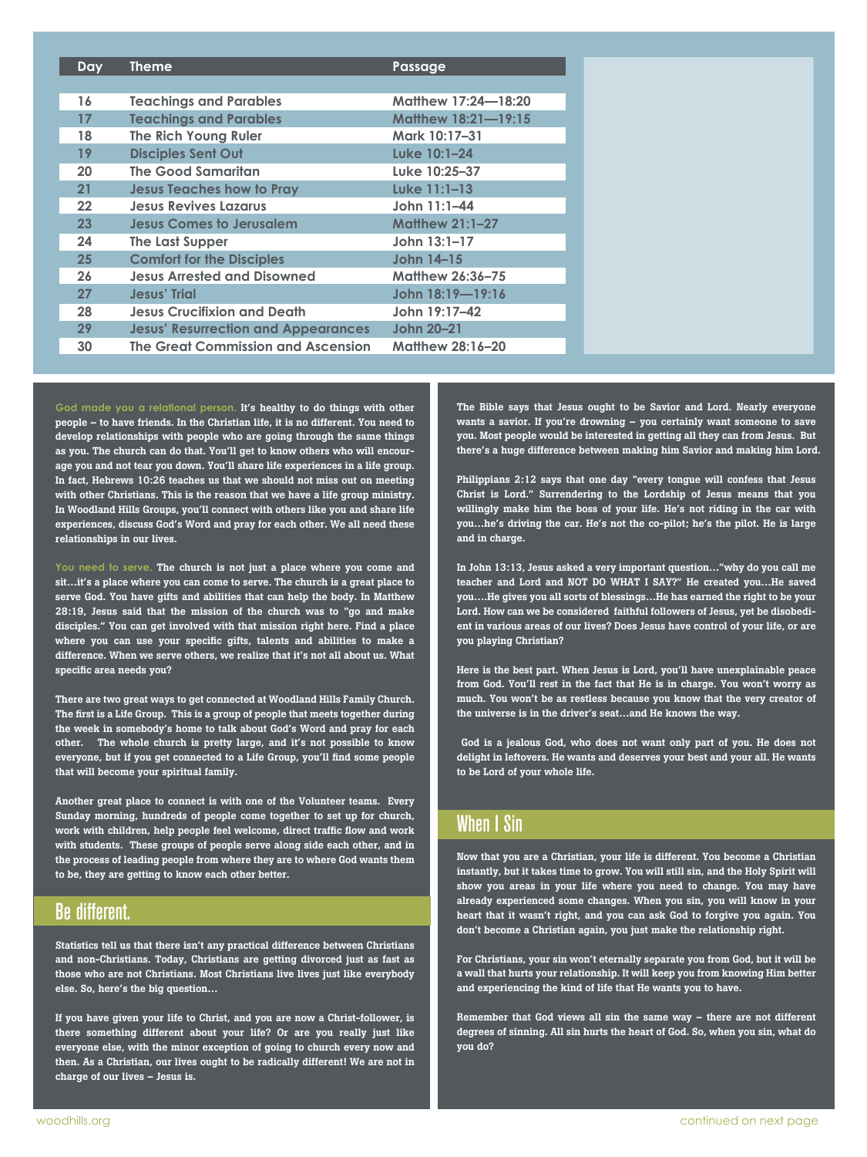| Day     | <b>Theme</b>                               | Passage                |
|---------|--------------------------------------------|------------------------|
|         |                                            |                        |
| 16      | <b>Teachings and Parables</b>              | Matthew 17:24-18:20    |
| 17      | <b>Teachings and Parables</b>              | Matthew 18:21-19:15    |
| 18      | The Rich Young Ruler                       | Mark 10:17-31          |
| 19      | <b>Disciples Sent Out</b>                  | Luke 10:1-24           |
| 20      | <b>The Good Samaritan</b>                  | Luke 10:25-37          |
| 21      | <b>Jesus Teaches how to Pray</b>           | Luke 11:1-13           |
| $22 \,$ | <b>Jesus Revives Lazarus</b>               | John 11:1-44           |
| 23      | <b>Jesus Comes to Jerusalem</b>            | <b>Matthew 21:1-27</b> |
| 24      | The Last Supper                            | John 13:1-17           |
| 25      | <b>Comfort for the Disciples</b>           | John 14-15             |
| 26      | <b>Jesus Arrested and Disowned</b>         | Matthew 26:36-75       |
| 27      | <b>Jesus' Trial</b>                        | John 18:19-19:16       |
| 28      | <b>Jesus Crucifixion and Death</b>         | John 19:17-42          |
| 29      | <b>Jesus' Resurrection and Appearances</b> | John 20-21             |
| 30      | The Great Commission and Ascension         | Matthew 28:16-20       |

**God made you a relational person.** It's healthy to do things with other people – to have friends. In the Christian life, it is no different. You need to develop relationships with people who are going through the same things as you. The church can do that. You'll get to know others who will encourage you and not tear you down. You'll share life experiences in a life group. In fact, Hebrews 10:26 teaches us that we should not miss out on meeting with other Christians. This is the reason that we have a life group ministry. In Woodland Hills Groups, you'll connect with others like you and share life experiences, discuss God's Word and pray for each other. We all need these relationships in our lives.

**You need to serve.** The church is not just a place where you come and sit…it's a place where you can come to serve. The church is a great place to serve God. You have gifts and abilities that can help the body. In Matthew 28:19, Jesus said that the mission of the church was to "go and make disciples." You can get involved with that mission right here. Find a place where you can use your specific gifts, talents and abilities to make a difference. When we serve others, we realize that it's not all about us. What specific area needs you?

There are two great ways to get connected at Woodland Hills Family Church. The first is a Life Group. This is a group of people that meets together during the week in somebody's home to talk about God's Word and pray for each other. The whole church is pretty large, and it's not possible to know everyone, but if you get connected to a Life Group, you'll find some people that will become your spiritual family.

Another great place to connect is with one of the Volunteer teams. Every Sunday morning, hundreds of people come together to set up for church, work with children, help people feel welcome, direct traffic flow and work with students. These groups of people serve along side each other, and in the process of leading people from where they are to where God wants them to be, they are getting to know each other better.

#### Be different.

Statistics tell us that there isn't any practical difference between Christians and non-Christians. Today, Christians are getting divorced just as fast as those who are not Christians. Most Christians live lives just like everybody else. So, here's the big question…

If you have given your life to Christ, and you are now a Christ-follower, is there something different about your life? Or are you really just like everyone else, with the minor exception of going to church every now and then. As a Christian, our lives ought to be radically different! We are not in charge of our lives – Jesus is.

The Bible says that Jesus ought to be Savior and Lord. Nearly everyone wants a savior. If you're drowning – you certainly want someone to save you. Most people would be interested in getting all they can from Jesus. But there's a huge difference between making him Savior and making him Lord.

Philippians 2:12 says that one day "every tongue will confess that Jesus Christ is Lord." Surrendering to the Lordship of Jesus means that you willingly make him the boss of your life. He's not riding in the car with you…he's driving the car. He's not the co-pilot; he's the pilot. He is large and in charge.

In John 13:13, Jesus asked a very important question…"why do you call me teacher and Lord and NOT DO WHAT I SAY?" He created you…He saved you….He gives you all sorts of blessings…He has earned the right to be your Lord. How can we be considered faithful followers of Jesus, yet be disobedient in various areas of our lives? Does Jesus have control of your life, or are you playing Christian?

Here is the best part. When Jesus is Lord, you'll have unexplainable peace from God. You'll rest in the fact that He is in charge. You won't worry as much. You won't be as restless because you know that the very creator of the universe is in the driver's seat…and He knows the way.

 God is a jealous God, who does not want only part of you. He does not delight in leftovers. He wants and deserves your best and your all. He wants to be Lord of your whole life.

#### When I Sin

Now that you are a Christian, your life is different. You become a Christian instantly, but it takes time to grow. You will still sin, and the Holy Spirit will show you areas in your life where you need to change. You may have already experienced some changes. When you sin, you will know in your heart that it wasn't right, and you can ask God to forgive you again. You don't become a Christian again, you just make the relationship right.

For Christians, your sin won't eternally separate you from God, but it will be a wall that hurts your relationship. It will keep you from knowing Him better and experiencing the kind of life that He wants you to have.

Remember that God views all sin the same way – there are not different degrees of sinning. All sin hurts the heart of God. So, when you sin, what do you do?